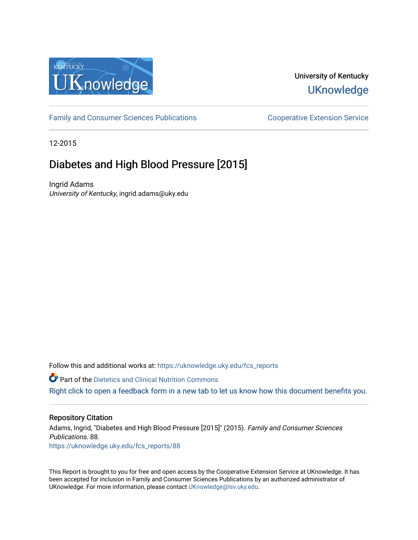

# University of Kentucky **UKnowledge**

[Family and Consumer Sciences Publications](https://uknowledge.uky.edu/fcs_reports) **Consumer Science Extension Service** Cooperative Extension Service

12-2015

# Diabetes and High Blood Pressure [2015]

Ingrid Adams University of Kentucky, ingrid.adams@uky.edu

Follow this and additional works at: https://uknowledge.uky.edu/fcs\_reports

**Part of the Dietetics and Clinical Nutrition Commons** 

[Right click to open a feedback form in a new tab to let us know how this document benefits you.](https://uky.az1.qualtrics.com/jfe/form/SV_9mq8fx2GnONRfz7)

## Repository Citation

Adams, Ingrid, "Diabetes and High Blood Pressure [2015]" (2015). Family and Consumer Sciences Publications. 88. [https://uknowledge.uky.edu/fcs\\_reports/88](https://uknowledge.uky.edu/fcs_reports/88?utm_source=uknowledge.uky.edu%2Ffcs_reports%2F88&utm_medium=PDF&utm_campaign=PDFCoverPages)

This Report is brought to you for free and open access by the Cooperative Extension Service at UKnowledge. It has been accepted for inclusion in Family and Consumer Sciences Publications by an authorized administrator of UKnowledge. For more information, please contact [UKnowledge@lsv.uky.edu](mailto:UKnowledge@lsv.uky.edu).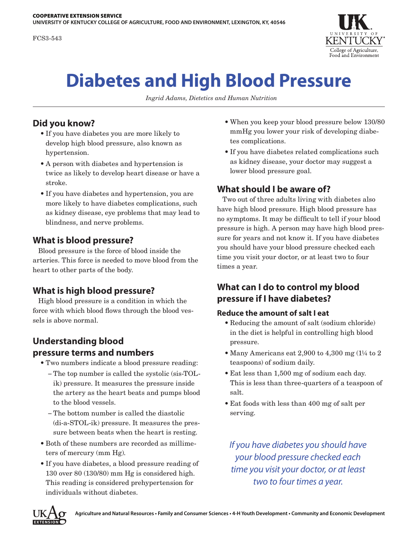

# **Diabetes and High Blood Pressure**

*Ingrid Adams, Dietetics and Human Nutrition*

# **Did you know?**

- If you have diabetes you are more likely to develop high blood pressure, also known as hypertension.
- A person with diabetes and hypertension is twice as likely to develop heart disease or have a stroke.
- If you have diabetes and hypertension, you are more likely to have diabetes complications, such as kidney disease, eye problems that may lead to blindness, and nerve problems.

# **What is blood pressure?**

Blood pressure is the force of blood inside the arteries. This force is needed to move blood from the heart to other parts of the body.

## **What is high blood pressure?**

High blood pressure is a condition in which the force with which blood flows through the blood vessels is above normal.

# **Understanding blood pressure terms and numbers**

- Two numbers indicate a blood pressure reading:
	- − The top number is called the systolic (sis-TOLik) pressure. It measures the pressure inside the artery as the heart beats and pumps blood to the blood vessels.
	- − The bottom number is called the diastolic (di-a-STOL-ik) pressure. It measures the pressure between beats when the heart is resting.
- Both of these numbers are recorded as millimeters of mercury (mm Hg).
- If you have diabetes, a blood pressure reading of 130 over 80 (130/80) mm Hg is considered high. This reading is considered prehypertension for individuals without diabetes.
- When you keep your blood pressure below 130/80 mmHg you lower your risk of developing diabetes complications.
- If you have diabetes related complications such as kidney disease, your doctor may suggest a lower blood pressure goal.

# **What should I be aware of?**

Two out of three adults living with diabetes also have high blood pressure. High blood pressure has no symptoms. It may be difficult to tell if your blood pressure is high. A person may have high blood pressure for years and not know it. If you have diabetes you should have your blood pressure checked each time you visit your doctor, or at least two to four times a year.

# **What can I do to control my blood pressure if I have diabetes?**

## **Reduce the amount of salt I eat**

- Reducing the amount of salt (sodium chloride) in the diet is helpful in controlling high blood pressure.
- Many Americans eat 2,900 to 4,300 mg (1¼ to 2 teaspoons) of sodium daily.
- Eat less than 1,500 mg of sodium each day. This is less than three-quarters of a teaspoon of salt.
- Eat foods with less than 400 mg of salt per serving.

*If you have diabetes you should have your blood pressure checked each time you visit your doctor, or at least two to four times a year.*

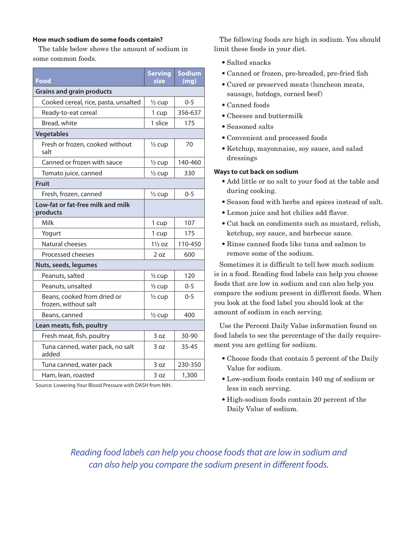#### **How much sodium do some foods contain?**

The table below shows the amount of sodium in some common foods.

| Food                                                | <b>Serving</b><br>size | <b>Sodium</b><br>(mg) |
|-----------------------------------------------------|------------------------|-----------------------|
| <b>Grains and grain products</b>                    |                        |                       |
| Cooked cereal, rice, pasta, unsalted                | $\frac{1}{2}$ cup      | $0 - 5$               |
| Ready-to-eat cereal                                 | 1 cup                  | 356-637               |
| Bread, white                                        | 1 slice                | 175                   |
| <b>Vegetables</b>                                   |                        |                       |
| Fresh or frozen, cooked without<br>salt             | $\frac{1}{2}$ cup      | 70                    |
| Canned or frozen with sauce                         | $\frac{1}{2}$ cup      | 140-460               |
| Tomato juice, canned                                | $\frac{1}{2}$ cup      | 330                   |
| <b>Fruit</b>                                        |                        |                       |
| Fresh, frozen, canned                               | $\frac{1}{2}$ cup      | $0 - 5$               |
| Low-fat or fat-free milk and milk<br>products       |                        |                       |
| Milk                                                | 1 cup                  | 107                   |
| Yogurt                                              | 1 cup                  | 175                   |
| Natural cheeses                                     | $1\frac{1}{2}$ oz      | 110-450               |
| Processed cheeses                                   | 2 oz                   | 600                   |
| Nuts, seeds, legumes                                |                        |                       |
| Peanuts, salted                                     | 1/ <sub>3</sub> cup    | 120                   |
| Peanuts, unsalted                                   | 1/ <sub>3</sub> cup    | 0-5                   |
| Beans, cooked from dried or<br>frozen, without salt | $\frac{1}{2}$ cup      | $0 - 5$               |
| Beans, canned                                       | $\frac{1}{2}$ cup      | 400                   |
| Lean meats, fish, poultry                           |                        |                       |
| Fresh meat, fish, poultry                           | 3 oz                   | 30-90                 |
| Tuna canned, water pack, no salt<br>added           | 3 oz                   | $35 - 45$             |
| Tuna canned, water pack                             | 3 oz                   | 230-350               |
| Ham, lean, roasted                                  | 3 oz                   | 1,300                 |

Source: Lowering Your Blood Pressure with DASH from NIH.

The following foods are high in sodium. You should limit these foods in your diet.

- Salted snacks
- Canned or frozen, pre-breaded, pre-fried fish
- Cured or preserved meats (luncheon meats, sausage, hotdogs, corned beef)
- Canned foods
- Cheeses and buttermilk
- Seasoned salts
- Convenient and processed foods
- Ketchup, mayonnaise, soy sauce, and salad dressings

#### **Ways to cut back on sodium**

- Add little or no salt to your food at the table and during cooking.
- Season food with herbs and spices instead of salt.
- Lemon juice and hot chilies add flavor.
- Cut back on condiments such as mustard, relish, ketchup, soy sauce, and barbecue sauce.
- Rinse canned foods like tuna and salmon to remove some of the sodium.

Sometimes it is difficult to tell how much sodium is in a food. Reading food labels can help you choose foods that are low in sodium and can also help you compare the sodium present in different foods. When you look at the food label you should look at the amount of sodium in each serving.

Use the Percent Daily Value information found on food labels to see the percentage of the daily requirement you are getting for sodium.

- Choose foods that contain 5 percent of the Daily Value for sodium.
- Low-sodium foods contain 140 mg of sodium or less in each serving.
- High-sodium foods contain 20 percent of the Daily Value of sodium.

*Reading food labels can help you choose foods that are low in sodium and can also help you compare the sodium present in different foods.*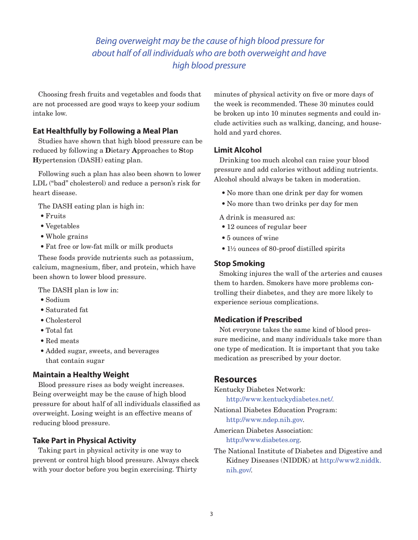# *Being overweight may be the cause of high blood pressure for about half of all individuals who are both overweight and have high blood pressure*

Choosing fresh fruits and vegetables and foods that are not processed are good ways to keep your sodium intake low.

### **Eat Healthfully by Following a Meal Plan**

Studies have shown that high blood pressure can be reduced by following a **D**ietary **A**pproaches to **S**top **H**ypertension (DASH) eating plan.

Following such a plan has also been shown to lower LDL ("bad" cholesterol) and reduce a person's risk for heart disease.

The DASH eating plan is high in:

- Fruits
- Vegetables
- Whole grains
- Fat free or low-fat milk or milk products

These foods provide nutrients such as potassium, calcium, magnesium, fiber, and protein, which have been shown to lower blood pressure.

The DASH plan is low in:

- Sodium
- Saturated fat
- Cholesterol
- Total fat
- Red meats
- Added sugar, sweets, and beverages that contain sugar

#### **Maintain a Healthy Weight**

Blood pressure rises as body weight increases. Being overweight may be the cause of high blood pressure for about half of all individuals classified as overweight. Losing weight is an effective means of reducing blood pressure.

## **Take Part in Physical Activity**

Taking part in physical activity is one way to prevent or control high blood pressure. Always check with your doctor before you begin exercising. Thirty

minutes of physical activity on five or more days of the week is recommended. These 30 minutes could be broken up into 10 minutes segments and could include activities such as walking, dancing, and household and yard chores.

## **Limit Alcohol**

Drinking too much alcohol can raise your blood pressure and add calories without adding nutrients. Alcohol should always be taken in moderation.

- No more than one drink per day for women
- No more than two drinks per day for men
- A drink is measured as:
- 12 ounces of regular beer
- 5 ounces of wine
- 1½ ounces of 80-proof distilled spirits

#### **Stop Smoking**

Smoking injures the wall of the arteries and causes them to harden. Smokers have more problems controlling their diabetes, and they are more likely to experience serious complications.

## **Medication if Prescribed**

Not everyone takes the same kind of blood pressure medicine, and many individuals take more than one type of medication. It is important that you take medication as prescribed by your doctor.

## **Resources**

Kentucky Diabetes Network:

http://www.kentuckydiabetes.net/.

National Diabetes Education Program: http:/[/www.ndep.nih.gov](http://www.ndep.nih.gov).

American Diabetes Association: http://[www.diabetes.org.](http://www.diabetes.org)

The National Institute of Diabetes and Digestive and Kidney Diseases (NIDDK) at http://www2.niddk. nih.gov/.